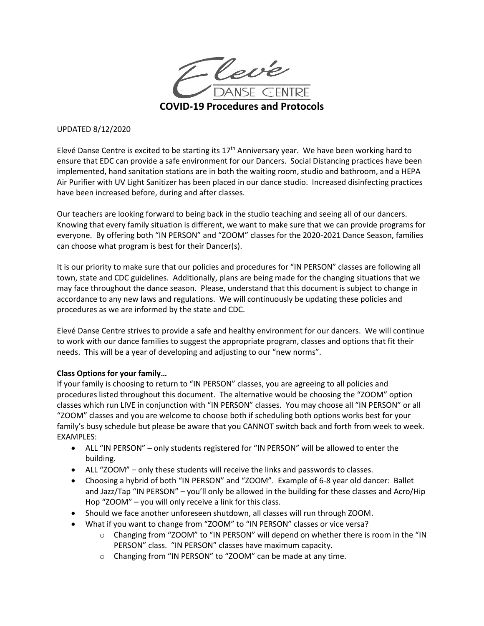

#### UPDATED 8/12/2020

Elevé Danse Centre is excited to be starting its  $17<sup>th</sup>$  Anniversary year. We have been working hard to ensure that EDC can provide a safe environment for our Dancers. Social Distancing practices have been implemented, hand sanitation stations are in both the waiting room, studio and bathroom, and a HEPA Air Purifier with UV Light Sanitizer has been placed in our dance studio. Increased disinfecting practices have been increased before, during and after classes.

Our teachers are looking forward to being back in the studio teaching and seeing all of our dancers. Knowing that every family situation is different, we want to make sure that we can provide programs for everyone. By offering both "IN PERSON" and "ZOOM" classes for the 2020-2021 Dance Season, families can choose what program is best for their Dancer(s).

It is our priority to make sure that our policies and procedures for "IN PERSON" classes are following all town, state and CDC guidelines. Additionally, plans are being made for the changing situations that we may face throughout the dance season. Please, understand that this document is subject to change in accordance to any new laws and regulations. We will continuously be updating these policies and procedures as we are informed by the state and CDC.

Elevé Danse Centre strives to provide a safe and healthy environment for our dancers. We will continue to work with our dance families to suggest the appropriate program, classes and options that fit their needs. This will be a year of developing and adjusting to our "new norms".

#### **Class Options for your family…**

If your family is choosing to return to "IN PERSON" classes, you are agreeing to all policies and procedures listed throughout this document. The alternative would be choosing the "ZOOM" option classes which run LIVE in conjunction with "IN PERSON" classes. You may choose all "IN PERSON" or all "ZOOM" classes and you are welcome to choose both if scheduling both options works best for your family's busy schedule but please be aware that you CANNOT switch back and forth from week to week. EXAMPLES:

- ALL "IN PERSON" only students registered for "IN PERSON" will be allowed to enter the building.
- ALL "ZOOM" only these students will receive the links and passwords to classes.
- Choosing a hybrid of both "IN PERSON" and "ZOOM". Example of 6-8 year old dancer: Ballet and Jazz/Tap "IN PERSON" – you'll only be allowed in the building for these classes and Acro/Hip Hop "ZOOM" – you will only receive a link for this class.
- Should we face another unforeseen shutdown, all classes will run through ZOOM.
- What if you want to change from "ZOOM" to "IN PERSON" classes or vice versa?
	- o Changing from "ZOOM" to "IN PERSON" will depend on whether there is room in the "IN PERSON" class. "IN PERSON" classes have maximum capacity.
	- o Changing from "IN PERSON" to "ZOOM" can be made at any time.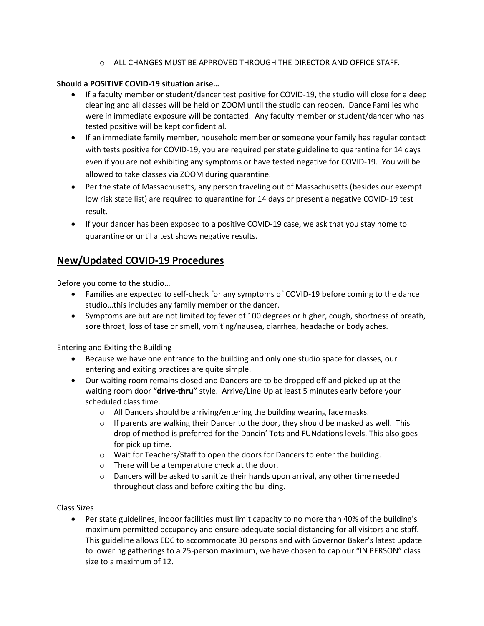o ALL CHANGES MUST BE APPROVED THROUGH THE DIRECTOR AND OFFICE STAFF.

## **Should a POSITIVE COVID-19 situation arise…**

- If a faculty member or student/dancer test positive for COVID-19, the studio will close for a deep cleaning and all classes will be held on ZOOM until the studio can reopen. Dance Families who were in immediate exposure will be contacted. Any faculty member or student/dancer who has tested positive will be kept confidential.
- If an immediate family member, household member or someone your family has regular contact with tests positive for COVID-19, you are required per state guideline to quarantine for 14 days even if you are not exhibiting any symptoms or have tested negative for COVID-19. You will be allowed to take classes via ZOOM during quarantine.
- Per the state of Massachusetts, any person traveling out of Massachusetts (besides our exempt low risk state list) are required to quarantine for 14 days or present a negative COVID-19 test result.
- If your dancer has been exposed to a positive COVID-19 case, we ask that you stay home to quarantine or until a test shows negative results.

# **New/Updated COVID-19 Procedures**

Before you come to the studio…

- Families are expected to self-check for any symptoms of COVID-19 before coming to the dance studio…this includes any family member or the dancer.
- Symptoms are but are not limited to; fever of 100 degrees or higher, cough, shortness of breath, sore throat, loss of tase or smell, vomiting/nausea, diarrhea, headache or body aches.

Entering and Exiting the Building

- Because we have one entrance to the building and only one studio space for classes, our entering and exiting practices are quite simple.
- Our waiting room remains closed and Dancers are to be dropped off and picked up at the waiting room door **"drive-thru"** style. Arrive/Line Up at least 5 minutes early before your scheduled class time.
	- o All Dancers should be arriving/entering the building wearing face masks.
	- $\circ$  If parents are walking their Dancer to the door, they should be masked as well. This drop of method is preferred for the Dancin' Tots and FUNdations levels. This also goes for pick up time.
	- $\circ$  Wait for Teachers/Staff to open the doors for Dancers to enter the building.
	- o There will be a temperature check at the door.
	- $\circ$  Dancers will be asked to sanitize their hands upon arrival, any other time needed throughout class and before exiting the building.

Class Sizes

• Per state guidelines, indoor facilities must limit capacity to no more than 40% of the building's maximum permitted occupancy and ensure adequate social distancing for all visitors and staff. This guideline allows EDC to accommodate 30 persons and with Governor Baker's latest update to lowering gatherings to a 25-person maximum, we have chosen to cap our "IN PERSON" class size to a maximum of 12.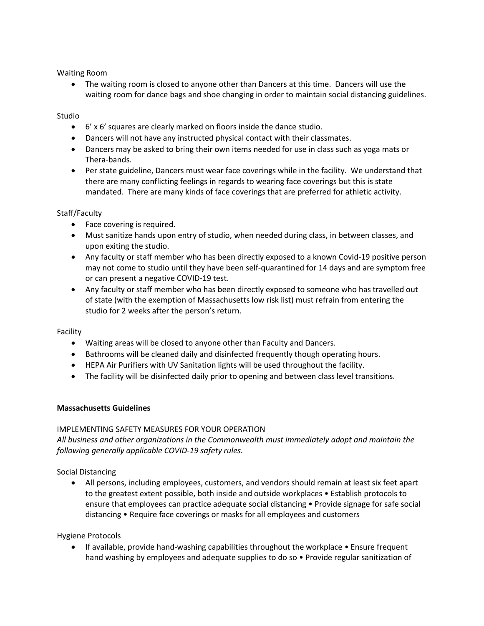Waiting Room

• The waiting room is closed to anyone other than Dancers at this time. Dancers will use the waiting room for dance bags and shoe changing in order to maintain social distancing guidelines.

## Studio

- 6' x 6' squares are clearly marked on floors inside the dance studio.
- Dancers will not have any instructed physical contact with their classmates.
- Dancers may be asked to bring their own items needed for use in class such as yoga mats or Thera-bands.
- Per state guideline, Dancers must wear face coverings while in the facility. We understand that there are many conflicting feelings in regards to wearing face coverings but this is state mandated. There are many kinds of face coverings that are preferred for athletic activity.

## Staff/Faculty

- Face covering is required.
- Must sanitize hands upon entry of studio, when needed during class, in between classes, and upon exiting the studio.
- Any faculty or staff member who has been directly exposed to a known Covid-19 positive person may not come to studio until they have been self-quarantined for 14 days and are symptom free or can present a negative COVID-19 test.
- Any faculty or staff member who has been directly exposed to someone who has travelled out of state (with the exemption of Massachusetts low risk list) must refrain from entering the studio for 2 weeks after the person's return.

#### Facility

- Waiting areas will be closed to anyone other than Faculty and Dancers.
- Bathrooms will be cleaned daily and disinfected frequently though operating hours.
- HEPA Air Purifiers with UV Sanitation lights will be used throughout the facility.
- The facility will be disinfected daily prior to opening and between class level transitions.

#### **Massachusetts Guidelines**

#### IMPLEMENTING SAFETY MEASURES FOR YOUR OPERATION

*All business and other organizations in the Commonwealth must immediately adopt and maintain the following generally applicable COVID-19 safety rules.* 

Social Distancing

• All persons, including employees, customers, and vendors should remain at least six feet apart to the greatest extent possible, both inside and outside workplaces • Establish protocols to ensure that employees can practice adequate social distancing • Provide signage for safe social distancing • Require face coverings or masks for all employees and customers

#### Hygiene Protocols

• If available, provide hand-washing capabilities throughout the workplace • Ensure frequent hand washing by employees and adequate supplies to do so • Provide regular sanitization of